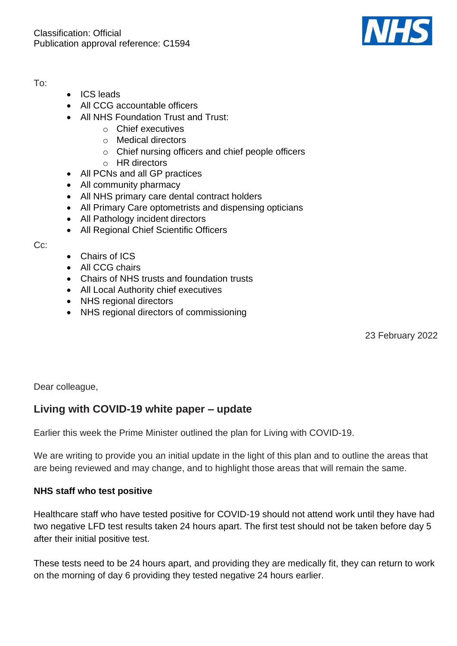

To:

- ICS leads
- All CCG accountable officers
- All NHS Foundation Trust and Trust:
	- o Chief executives
	- o Medical directors
	- o Chief nursing officers and chief people officers
	- o HR directors
- All PCNs and all GP practices
- All community pharmacy
- All NHS primary care dental contract holders
- All Primary Care optometrists and dispensing opticians
- All Pathology incident directors
- All Regional Chief Scientific Officers

Cc:

- Chairs of ICS
- All CCG chairs
- Chairs of NHS trusts and foundation trusts
- All Local Authority chief executives
- NHS regional directors
- NHS regional directors of commissioning

23 February 2022

Dear colleague,

# **Living with COVID-19 white paper – update**

Earlier this week the Prime Minister outlined the plan for Living with COVID-19.

We are writing to provide you an initial update in the light of this plan and to outline the areas that are being reviewed and may change, and to highlight those areas that will remain the same.

# **NHS staff who test positive**

Healthcare staff who have tested positive for COVID-19 should not attend work until they have had two negative LFD test results taken 24 hours apart. The first test should not be taken before day 5 after their initial positive test.

These tests need to be 24 hours apart, and providing they are medically fit, they can return to work on the morning of day 6 providing they tested negative 24 hours earlier.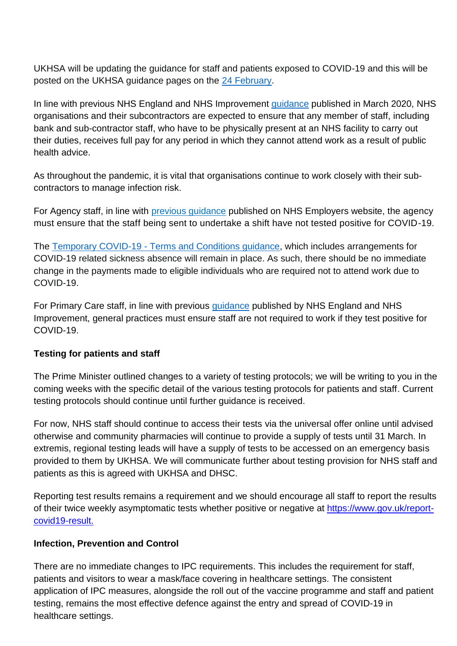UKHSA will be updating the guidance for staff and patients exposed to COVID-19 and this will be posted on the UKHSA guidance pages on the [24 February.](https://www.gov.uk/government/publications/covid-19-management-of-exposed-healthcare-workers-and-patients-in-hospital-settings)

In line with previous NHS England and NHS Improvement [guidance](https://www.england.nhs.uk/wp-content/uploads/2020/03/20200302-COVID-19-letter-to-the-NHS-Final.pdf) published in March 2020, NHS organisations and their subcontractors are expected to ensure that any member of staff, including bank and sub-contractor staff, who have to be physically present at an NHS facility to carry out their duties, receives full pay for any period in which they cannot attend work as a result of public health advice.

As throughout the pandemic, it is vital that organisations continue to work closely with their subcontractors to manage infection risk.

For Agency staff, in line with *previous guidance* published on NHS Employers website, the agency must ensure that the staff being sent to undertake a shift have not tested positive for COVID-19.

The Temporary COVID-19 - [Terms and Conditions guidance,](https://www.nhsemployers.org/articles/covid-19-pay-faqs) which includes arrangements for COVID-19 related sickness absence will remain in place. As such, there should be no immediate change in the payments made to eligible individuals who are required not to attend work due to COVID-19.

For Primary Care staff, in line with previous *guidance* published by NHS England and NHS Improvement, general practices must ensure staff are not required to work if they test positive for COVID-19.

## **Testing for patients and staff**

The Prime Minister outlined changes to a variety of testing protocols; we will be writing to you in the coming weeks with the specific detail of the various testing protocols for patients and staff. Current testing protocols should continue until further guidance is received.

For now, NHS staff should continue to access their tests via the universal offer online until advised otherwise and community pharmacies will continue to provide a supply of tests until 31 March. In extremis, regional testing leads will have a supply of tests to be accessed on an emergency basis provided to them by UKHSA. We will communicate further about testing provision for NHS staff and patients as this is agreed with UKHSA and DHSC.

Reporting test results remains a requirement and we should encourage all staff to report the results of their twice weekly asymptomatic tests whether positive or negative at [https://www.gov.uk/report](https://www.gov.uk/report-covid19-result)[covid19-result.](https://www.gov.uk/report-covid19-result)

## **Infection, Prevention and Control**

There are no immediate changes to IPC requirements. This includes the requirement for staff, patients and visitors to wear a mask/face covering in healthcare settings. The consistent application of IPC measures, alongside the roll out of the vaccine programme and staff and patient testing, remains the most effective defence against the entry and spread of COVID-19 in healthcare settings.